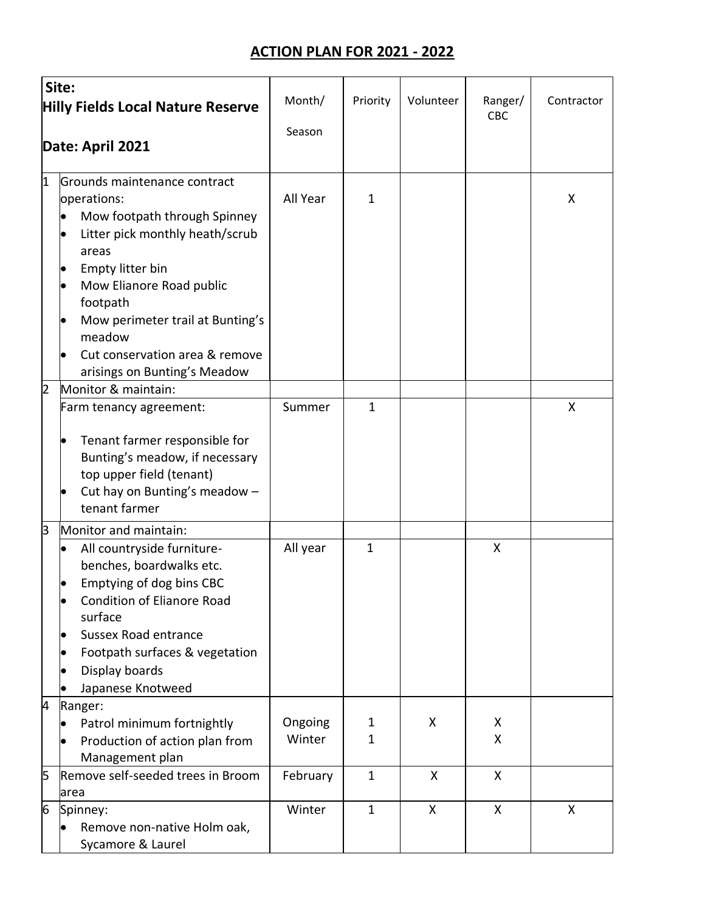## **ACTION PLAN FOR 2021 - 2022**

| Site:                                    |                                                                                                                                                                                                                                                                      |                   |              |           |         |            |
|------------------------------------------|----------------------------------------------------------------------------------------------------------------------------------------------------------------------------------------------------------------------------------------------------------------------|-------------------|--------------|-----------|---------|------------|
| <b>Hilly Fields Local Nature Reserve</b> |                                                                                                                                                                                                                                                                      | Month/            | Priority     | Volunteer | Ranger/ | Contractor |
|                                          |                                                                                                                                                                                                                                                                      | Season            |              |           | CBC     |            |
| Date: April 2021                         |                                                                                                                                                                                                                                                                      |                   |              |           |         |            |
|                                          |                                                                                                                                                                                                                                                                      |                   |              |           |         |            |
| $\overline{1}$                           | Grounds maintenance contract<br>operations:<br>Mow footpath through Spinney<br>Litter pick monthly heath/scrub<br>areas                                                                                                                                              | All Year          | $\mathbf{1}$ |           |         | X          |
|                                          | Empty litter bin<br>Mow Elianore Road public<br>$\bullet$<br>footpath<br>Mow perimeter trail at Bunting's<br>meadow<br>Cut conservation area & remove<br>arisings on Bunting's Meadow                                                                                |                   |              |           |         |            |
| $\overline{2}$                           | Monitor & maintain:                                                                                                                                                                                                                                                  |                   |              |           |         |            |
|                                          | Farm tenancy agreement:<br>Tenant farmer responsible for<br>Bunting's meadow, if necessary<br>top upper field (tenant)<br>Cut hay on Bunting's meadow -<br>tenant farmer                                                                                             | Summer            | $\mathbf{1}$ |           |         | X          |
| З                                        | Monitor and maintain:                                                                                                                                                                                                                                                |                   |              |           |         |            |
|                                          | All countryside furniture-<br>$\bullet$<br>benches, boardwalks etc.<br>Emptying of dog bins CBC<br><b>Condition of Elianore Road</b><br>$\bullet$<br>surface<br><b>Sussex Road entrance</b><br>Footpath surfaces & vegetation<br>Display boards<br>Japanese Knotweed | All year          | $\mathbf{1}$ |           | X       |            |
| 4                                        | Ranger:                                                                                                                                                                                                                                                              |                   |              |           |         |            |
|                                          | Patrol minimum fortnightly<br>Production of action plan from<br>Management plan                                                                                                                                                                                      | Ongoing<br>Winter | 1<br>1       | X         | X<br>X  |            |
| 5                                        | Remove self-seeded trees in Broom<br>area                                                                                                                                                                                                                            | February          | $\mathbf 1$  | X         | X       |            |
| 6                                        | Spinney:<br>Remove non-native Holm oak,<br>Sycamore & Laurel                                                                                                                                                                                                         | Winter            | $\mathbf{1}$ | X         | X       | X          |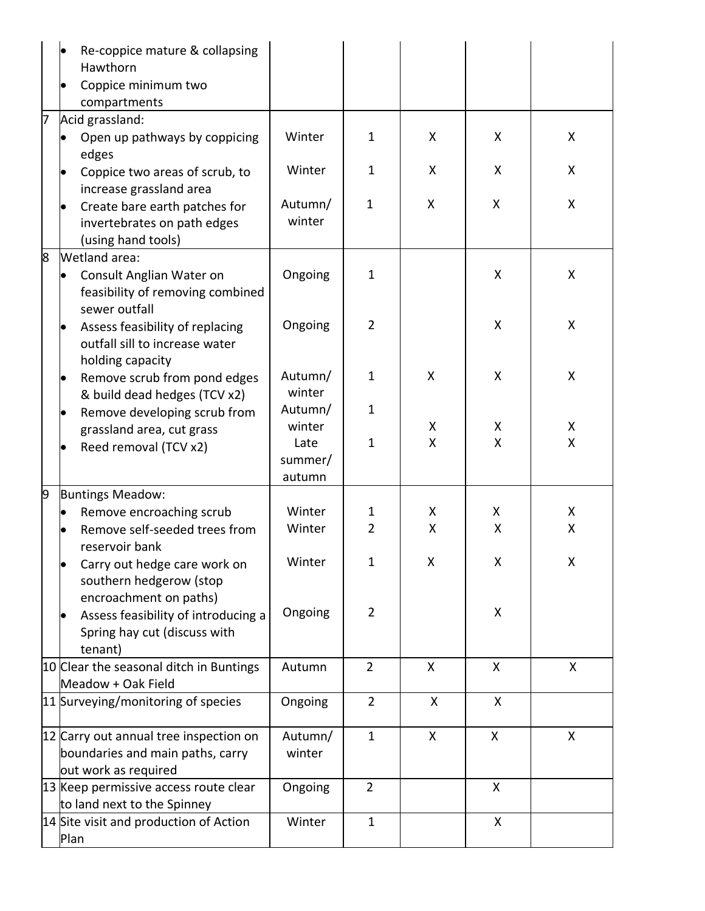|   | Re-coppice mature & collapsing<br>Hawthorn<br>Coppice minimum two<br>compartments                  |                           |                |   |   |   |  |
|---|----------------------------------------------------------------------------------------------------|---------------------------|----------------|---|---|---|--|
| 7 | Acid grassland:                                                                                    |                           |                |   |   |   |  |
|   | Open up pathways by coppicing<br>edges                                                             | Winter                    | $\mathbf{1}$   | X | X | X |  |
|   | Coppice two areas of scrub, to<br>increase grassland area                                          | Winter                    | 1              | X | X | X |  |
|   | Create bare earth patches for<br>invertebrates on path edges<br>(using hand tools)                 | Autumn/<br>winter         | $\mathbf{1}$   | X | X | Χ |  |
| 8 | Wetland area:<br>Consult Anglian Water on<br>feasibility of removing combined<br>sewer outfall     | Ongoing                   | $\mathbf{1}$   |   | X | X |  |
|   | Assess feasibility of replacing<br>outfall sill to increase water<br>holding capacity              | Ongoing                   | $\overline{2}$ |   | X | X |  |
|   | Remove scrub from pond edges<br>$\bullet$<br>& build dead hedges (TCV x2)                          | Autumn/<br>winter         | $\mathbf 1$    | X | X | Χ |  |
|   | Remove developing scrub from<br>grassland area, cut grass                                          | Autumn/<br>winter         | $\mathbf{1}$   | Χ | X | Χ |  |
|   | Reed removal (TCV x2)                                                                              | Late<br>summer/<br>autumn | $\mathbf{1}$   | Χ | Χ | Χ |  |
| 9 | <b>Buntings Meadow:</b>                                                                            |                           |                |   |   |   |  |
|   | Remove encroaching scrub                                                                           | Winter                    | 1              | X | X | X |  |
|   | Remove self-seeded trees from<br>reservoir bank                                                    | Winter                    | $\overline{2}$ | X | Χ | Χ |  |
|   | Carry out hedge care work on<br>southern hedgerow (stop<br>encroachment on paths)                  | Winter                    | 1              | Χ | X | Χ |  |
|   | Assess feasibility of introducing a<br>Spring hay cut (discuss with<br>tenant)                     | Ongoing                   | $\overline{2}$ |   | X |   |  |
|   | 10 Clear the seasonal ditch in Buntings<br>Meadow + Oak Field                                      | Autumn                    | $\overline{2}$ | X | X | X |  |
|   | 11 Surveying/monitoring of species                                                                 | Ongoing                   | $\overline{2}$ | X | X |   |  |
|   | 12 Carry out annual tree inspection on<br>boundaries and main paths, carry<br>out work as required | Autumn/<br>winter         | $\mathbf{1}$   | X | X | X |  |
|   | 13 Keep permissive access route clear<br>to land next to the Spinney                               | Ongoing                   | $\overline{2}$ |   | X |   |  |
|   | 14 Site visit and production of Action<br>Plan                                                     | Winter                    | $\mathbf{1}$   |   | X |   |  |